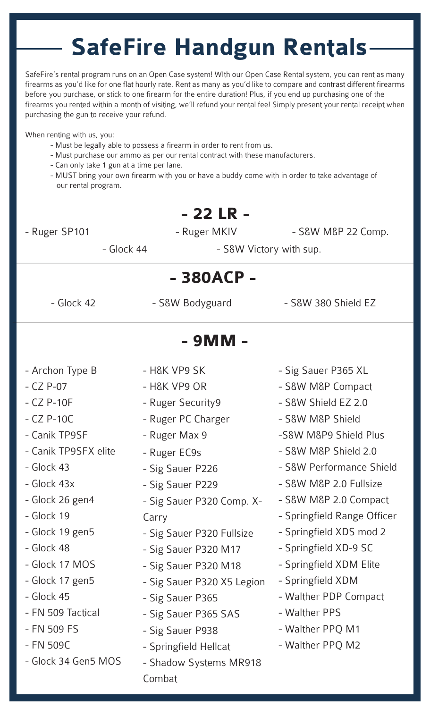# **SafeFire Handgun Rentals**

SafeFire's rental program runs on an Open Case system! WIth our Open Case Rental system, you can rent as many firearms as you'd like for one flat hourly rate. Rent as many as you'd like to compare and contrast different firearms before you purchase, or stick to one firearm for the entire duration! Plus, if you end up purchasing one of the firearms you rented within a month of visiting, we'll refund your rental fee! Simply present your rental receipt when purchasing the gun to receive your refund.

When renting with us, you:

- Must be legally able to possess a firearm in order to rent from us.
- Must purchase our ammo as per our rental contract with these manufacturers.
- Can only take 1 gun at a time per lane.
- MUST bring your own firearm with you or have a buddy come with in order to take advantage of our rental program.

### **- 22 LR -**

- Ruger SP101 - Ruger MKIV - S&W M&P 22 Comp.

- Glock 44 - S&W Victory with sup.

#### **- 380ACP -**

| - Glock 42           | - S&W Bodyguard            | - S&W 380 Shield EZ         |
|----------------------|----------------------------|-----------------------------|
|                      | - 9MM -                    |                             |
| - Archon Type B      | - H&K VP9 SK               | - Sig Sauer P365 XL         |
| $-$ CZ P-07          | - H&K VP9 OR               | - S&W M&P Compact           |
| $-CZ$ P-10F          | - Ruger Security9          | - S&W Shield EZ 2.0         |
| $-$ CZ P-10C         | - Ruger PC Charger         | - S&W M&P Shield            |
| - Canik TP9SF        | - Ruger Max 9              | -S&W M&P9 Shield Plus       |
| - Canik TP9SFX elite | - Ruger EC9s               | - S&W M&P Shield 2.0        |
| - Glock 43           | - Sig Sauer P226           | - S&W Performance Shield    |
| - Glock 43x          | - Sig Sauer P229           | - S&W M&P 2.0 Fullsize      |
| - Glock 26 gen4      | - Sig Sauer P320 Comp. X-  | - S&W M&P 2.0 Compact       |
| - Glock 19           | Carry                      | - Springfield Range Officer |
| - Glock 19 gen5      | - Sig Sauer P320 Fullsize  | - Springfield XDS mod 2     |
| - Glock 48           | - Sig Sauer P320 M17       | - Springfield XD-9 SC       |
| - Glock 17 MOS       | - Sig Sauer P320 M18       | - Springfield XDM Elite     |
| - Glock 17 gen5      | - Sig Sauer P320 X5 Legion | - Springfield XDM           |
| - Glock 45           | - Sig Sauer P365           | - Walther PDP Compact       |
| - FN 509 Tactical    | - Sig Sauer P365 SAS       | - Walther PPS               |
| - FN 509 FS          | - Sig Sauer P938           | - Walther PPQ M1            |
| - FN 509C            | - Springfield Hellcat      | - Walther PPQ M2            |
| - Glock 34 Gen5 MOS  | - Shadow Systems MR918     |                             |
|                      | Combat                     |                             |